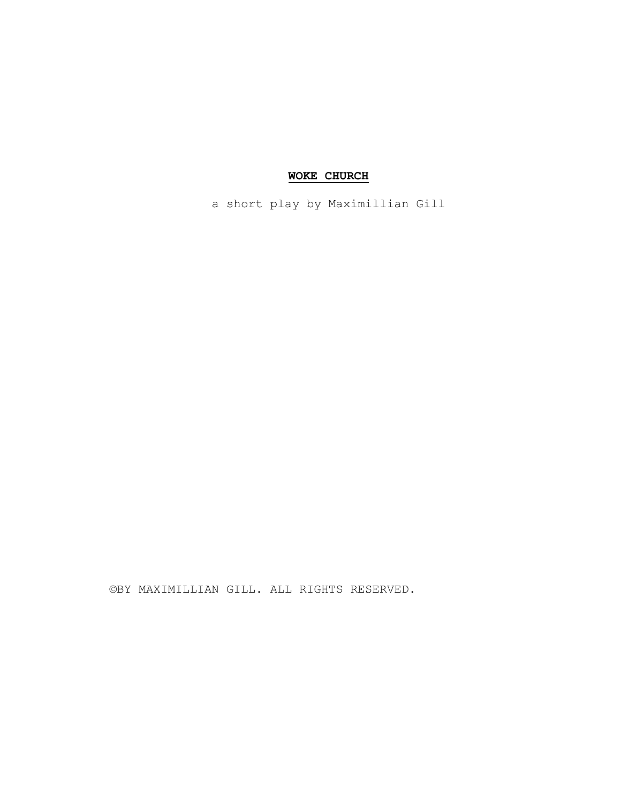# **WOKE CHURCH**

a short play by Maximillian Gill

©BY MAXIMILLIAN GILL. ALL RIGHTS RESERVED.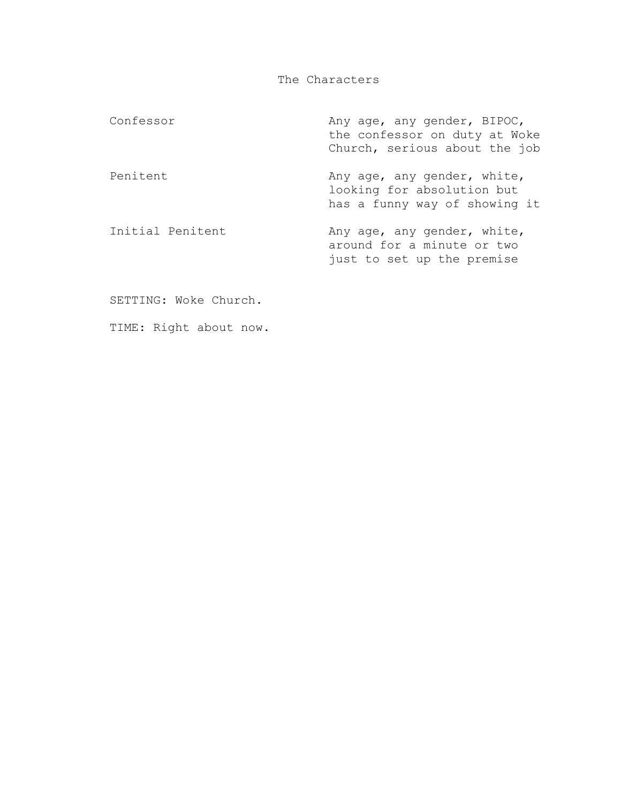The Characters

| Confessor        | Any age, any gender, BIPOC,<br>the confessor on duty at Woke<br>Church, serious about the job |
|------------------|-----------------------------------------------------------------------------------------------|
| Penitent         | Any age, any gender, white,<br>looking for absolution but<br>has a funny way of showing it    |
| Initial Penitent | Any age, any gender, white,<br>around for a minute or two<br>just to set up the premise       |

SETTING: Woke Church.

TIME: Right about now.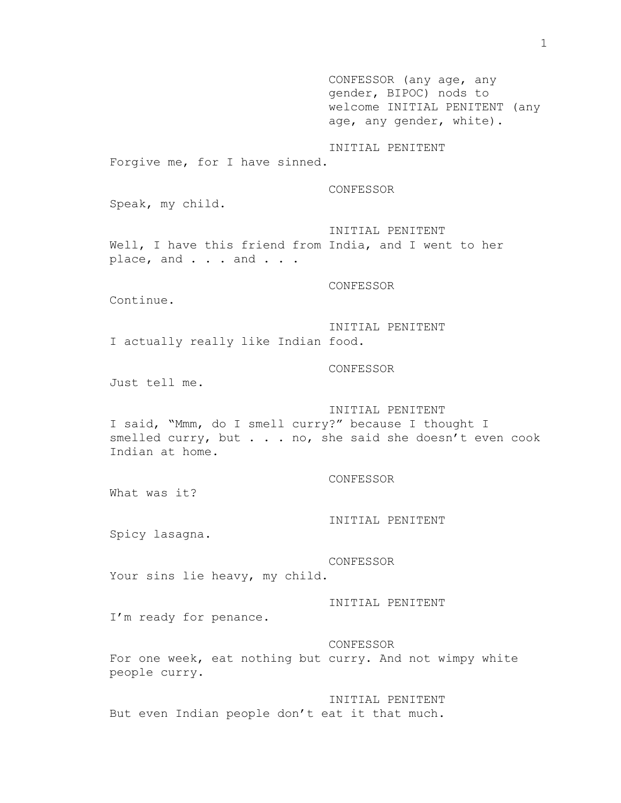CONFESSOR (any age, any gender, BIPOC) nods to welcome INITIAL PENITENT (any age, any gender, white). INITIAL PENITENT Forgive me, for I have sinned. CONFESSOR Speak, my child. INITIAL PENITENT Well, I have this friend from India, and I went to her place, and . . . and . . . CONFESSOR Continue. INITIAL PENITENT I actually really like Indian food. CONFESSOR Just tell me. INITIAL PENITENT I said, "Mmm, do I smell curry?" because I thought I smelled curry, but . . . no, she said she doesn't even cook Indian at home. CONFESSOR What was it? INITIAL PENITENT Spicy lasagna. CONFESSOR Your sins lie heavy, my child. INITIAL PENITENT I'm ready for penance. CONFESSOR For one week, eat nothing but curry. And not wimpy white people curry. INITIAL PENITENT But even Indian people don't eat it that much.

1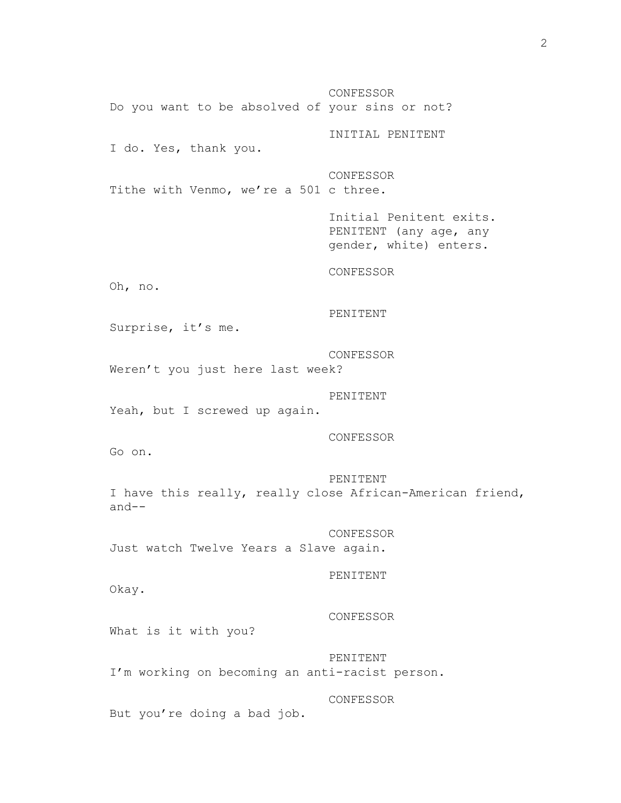CONFESSOR Do you want to be absolved of your sins or not? INITIAL PENITENT I do. Yes, thank you. CONFESSOR Tithe with Venmo, we're a 501 c three. Initial Penitent exits. PENITENT (any age, any gender, white) enters. CONFESSOR Oh, no. PENITENT Surprise, it's me. CONFESSOR Weren't you just here last week? PENITENT Yeah, but I screwed up again. CONFESSOR Go on. PENITENT I have this really, really close African-American friend, and-- CONFESSOR Just watch Twelve Years a Slave again. PENITENT Okay. CONFESSOR What is it with you? PENITENT I'm working on becoming an anti-racist person. CONFESSOR But you're doing a bad job.

2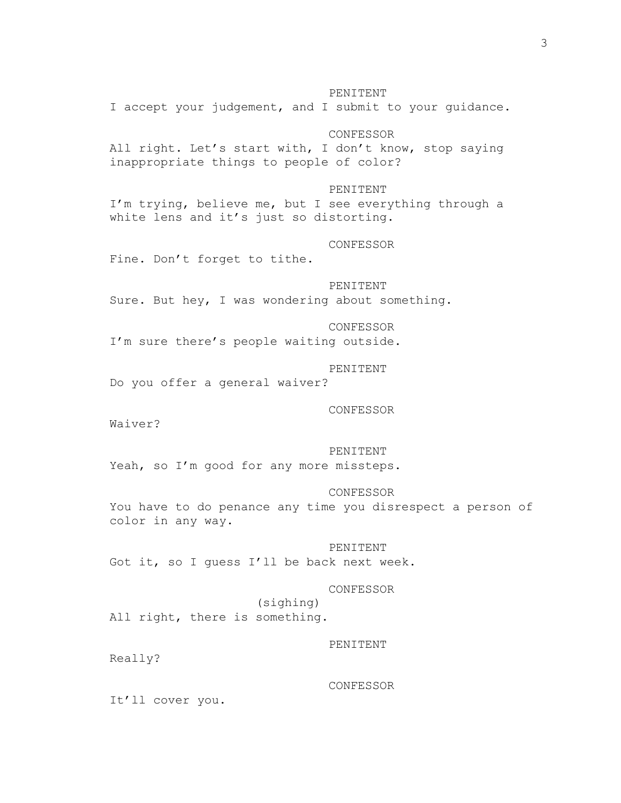#### PENITENT

I accept your judgement, and I submit to your guidance.

# CONFESSOR

All right. Let's start with, I don't know, stop saying inappropriate things to people of color?

# PENITENT

I'm trying, believe me, but I see everything through a white lens and it's just so distorting.

#### CONFESSOR

Fine. Don't forget to tithe.

# PENITENT

Sure. But hey, I was wondering about something.

# CONFESSOR

I'm sure there's people waiting outside.

# PENITENT

Do you offer a general waiver?

### CONFESSOR

Waiver?

### PENITENT

Yeah, so I'm good for any more missteps.

#### CONFESSOR

You have to do penance any time you disrespect a person of color in any way.

#### PENITENT

Got it, so I guess I'll be back next week.

#### CONFESSOR

(sighing) All right, there is something.

#### PENITENT

Really?

#### CONFESSOR

It'll cover you.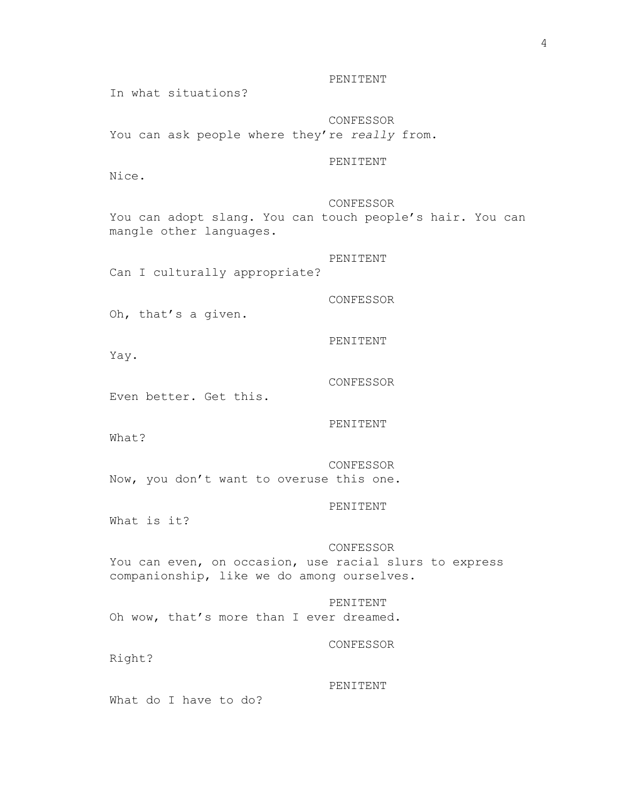PENITENT

In what situations?

CONFESSOR You can ask people where they're *really* from.

# PENITENT

Nice.

### CONFESSOR

You can adopt slang. You can touch people's hair. You can mangle other languages.

PENITENT Can I culturally appropriate?

CONFESSOR

Oh, that's a given.

Yay.

Even better. Get this.

PENITENT

CONFESSOR

PENITENT

What?

CONFESSOR Now, you don't want to overuse this one.

PENITENT

What is it?

### CONFESSOR

You can even, on occasion, use racial slurs to express companionship, like we do among ourselves.

PENITENT Oh wow, that's more than I ever dreamed.

CONFESSOR

Right?

PENITENT

What do I have to do?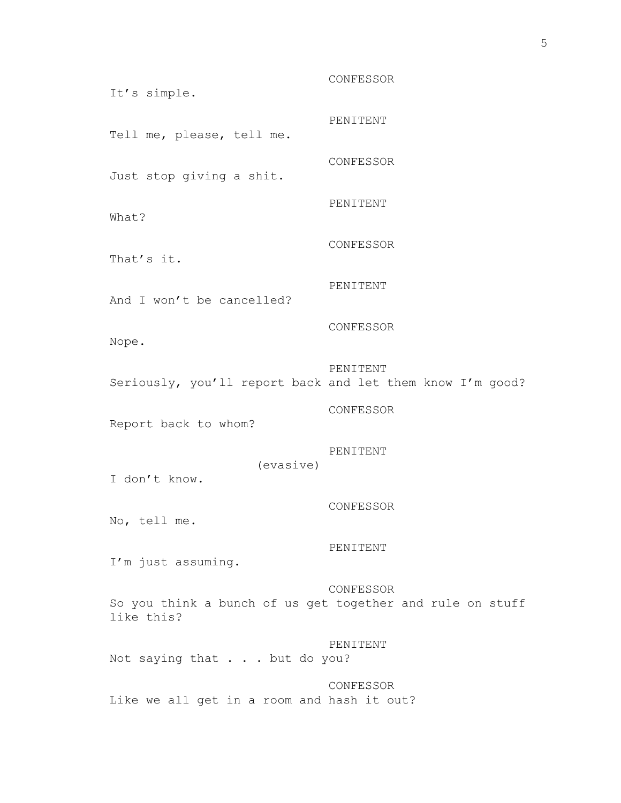CONFESSOR It's simple. PENITENT Tell me, please, tell me. CONFESSOR Just stop giving a shit. PENITENT What? CONFESSOR That's it. PENITENT And I won't be cancelled? CONFESSOR Nope. PENITENT Seriously, you'll report back and let them know I'm good? CONFESSOR Report back to whom? PENITENT (evasive) I don't know. CONFESSOR No, tell me. PENITENT I'm just assuming. CONFESSOR So you think a bunch of us get together and rule on stuff like this? PENITENT Not saying that . . . but do you? CONFESSOR Like we all get in a room and hash it out?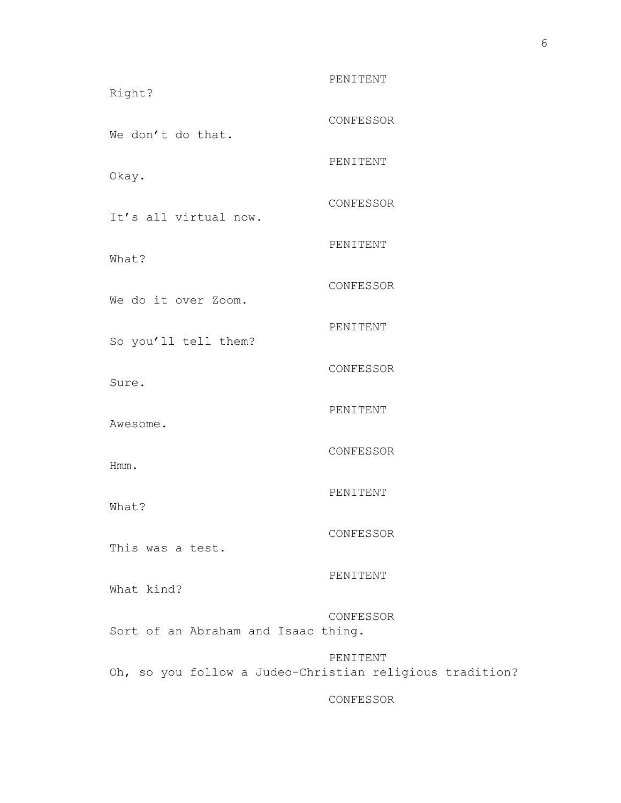PENITENT Right? CONFESSOR We don't do that. PENITENT Okay. CONFESSOR It's all virtual now. PENITENT What? CONFESSOR We do it over Zoom. PENITENT So you'll tell them? CONFESSOR Sure. PENITENT Awesome. CONFESSOR Hmm. PENITENT What? CONFESSOR This was a test. PENITENT What kind? CONFESSOR Sort of an Abraham and Isaac thing. PENITENT Oh, so you follow a Judeo-Christian religious tradition?

CONFESSOR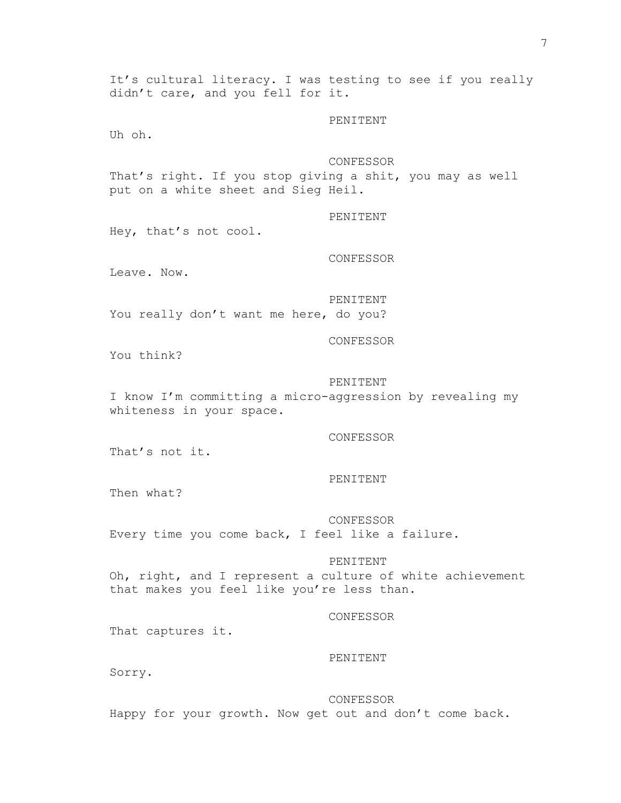It's cultural literacy. I was testing to see if you really didn't care, and you fell for it.

PENITENT

Uh oh.

# CONFESSOR

That's right. If you stop giving a shit, you may as well put on a white sheet and Sieg Heil.

PENITENT

Hey, that's not cool.

CONFESSOR

Leave. Now.

PENITENT

You really don't want me here, do you?

CONFESSOR

You think?

### PENITENT

I know I'm committing a micro-aggression by revealing my whiteness in your space.

CONFESSOR

That's not it.

#### PENITENT

Then what?

CONFESSOR Every time you come back, I feel like a failure.

#### PENITENT

Oh, right, and I represent a culture of white achievement that makes you feel like you're less than.

### CONFESSOR

That captures it.

# PENITENT

Sorry.

CONFESSOR

Happy for your growth. Now get out and don't come back.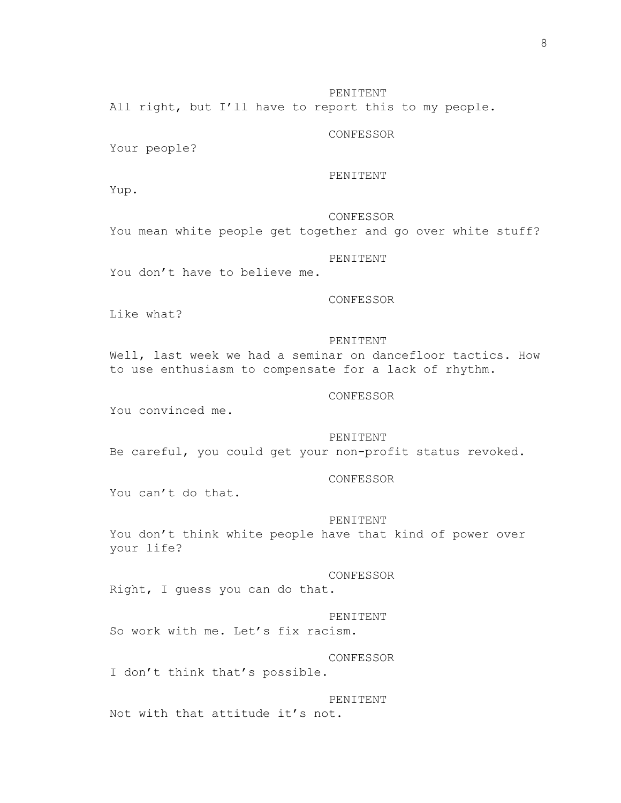All right, but I'll have to report this to my people.

# CONFESSOR

Your people?

#### PENITENT

Yup.

# CONFESSOR

You mean white people get together and go over white stuff?

# PENITENT

You don't have to believe me.

### CONFESSOR

Like what?

# PENITENT

Well, last week we had a seminar on dancefloor tactics. How to use enthusiasm to compensate for a lack of rhythm.

## CONFESSOR

You convinced me.

# PENITENT

Be careful, you could get your non-profit status revoked.

#### CONFESSOR

You can't do that.

### PENITENT

You don't think white people have that kind of power over your life?

#### CONFESSOR

Right, I guess you can do that.

#### PENITENT

So work with me. Let's fix racism.

### CONFESSOR

I don't think that's possible.

#### PENITENT

Not with that attitude it's not.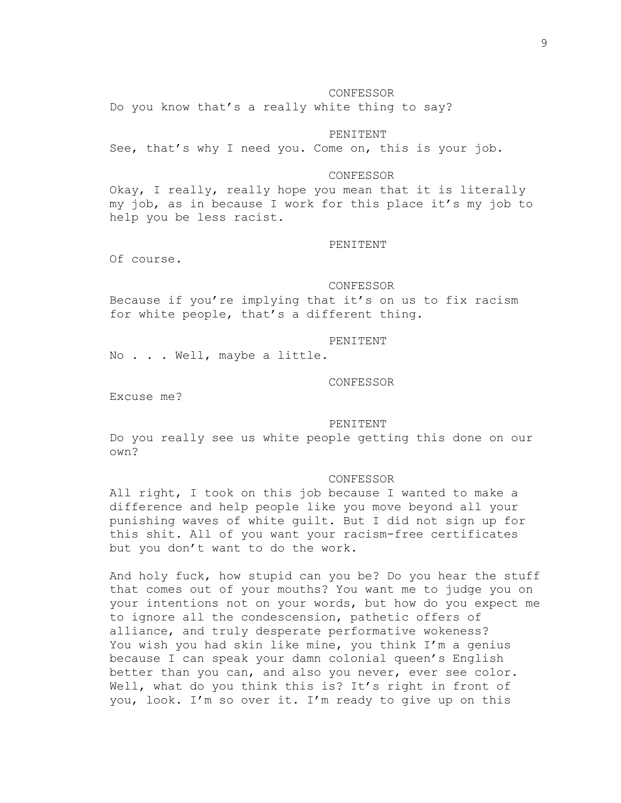# 9

#### CONFESSOR

Do you know that's a really white thing to say?

# PENITENT

See, that's why I need you. Come on, this is your job.

### CONFESSOR

Okay, I really, really hope you mean that it is literally my job, as in because I work for this place it's my job to help you be less racist.

#### PENITENT

Of course.

#### CONFESSOR

Because if you're implying that it's on us to fix racism for white people, that's a different thing.

### PENITENT

No . . . Well, maybe a little.

#### CONFESSOR

Excuse me?

# PENITENT

Do you really see us white people getting this done on our own?

### CONFESSOR

All right, I took on this job because I wanted to make a difference and help people like you move beyond all your punishing waves of white guilt. But I did not sign up for this shit. All of you want your racism-free certificates but you don't want to do the work.

And holy fuck, how stupid can you be? Do you hear the stuff that comes out of your mouths? You want me to judge you on your intentions not on your words, but how do you expect me to ignore all the condescension, pathetic offers of alliance, and truly desperate performative wokeness? You wish you had skin like mine, you think I'm a genius because I can speak your damn colonial queen's English better than you can, and also you never, ever see color. Well, what do you think this is? It's right in front of you, look. I'm so over it. I'm ready to give up on this